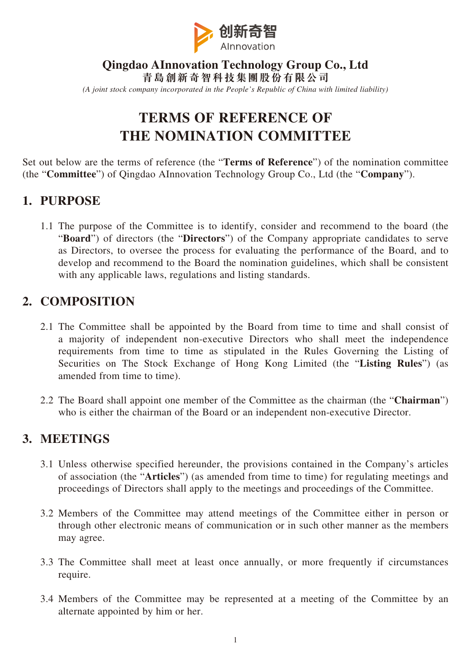

#### **Qingdao AInnovation Technology Group Co., Ltd 青島創新奇智科技集團股份有限公司** *(A joint stock company incorporated in the People's Republic of China with limited liability)*

# **TERMS OF REFERENCE OF THE NOMINATION COMMITTEE**

Set out below are the terms of reference (the "**Terms of Reference**") of the nomination committee (the "**Committee**") of Qingdao AInnovation Technology Group Co., Ltd (the "**Company**").

### **1. PURPOSE**

1.1 The purpose of the Committee is to identify, consider and recommend to the board (the "**Board**") of directors (the "**Directors**") of the Company appropriate candidates to serve as Directors, to oversee the process for evaluating the performance of the Board, and to develop and recommend to the Board the nomination guidelines, which shall be consistent with any applicable laws, regulations and listing standards.

#### **2. COMPOSITION**

- 2.1 The Committee shall be appointed by the Board from time to time and shall consist of a majority of independent non-executive Directors who shall meet the independence requirements from time to time as stipulated in the Rules Governing the Listing of Securities on The Stock Exchange of Hong Kong Limited (the "**Listing Rules**") (as amended from time to time).
- 2.2 The Board shall appoint one member of the Committee as the chairman (the "**Chairman**") who is either the chairman of the Board or an independent non-executive Director.

#### **3. MEETINGS**

- 3.1 Unless otherwise specified hereunder, the provisions contained in the Company's articles of association (the "**Articles**") (as amended from time to time) for regulating meetings and proceedings of Directors shall apply to the meetings and proceedings of the Committee.
- 3.2 Members of the Committee may attend meetings of the Committee either in person or through other electronic means of communication or in such other manner as the members may agree.
- 3.3 The Committee shall meet at least once annually, or more frequently if circumstances require.
- 3.4 Members of the Committee may be represented at a meeting of the Committee by an alternate appointed by him or her.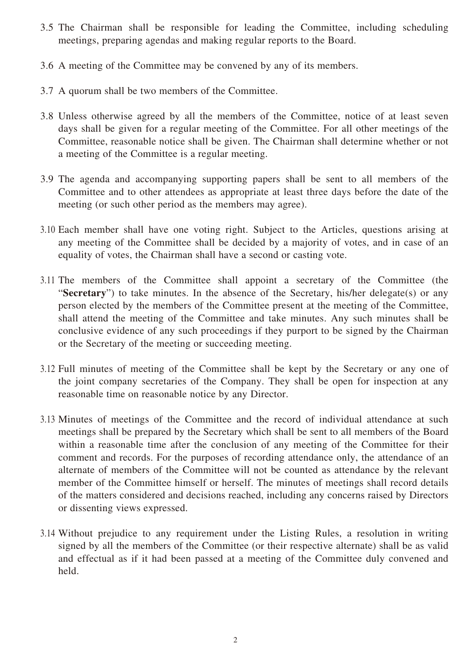- 3.5 The Chairman shall be responsible for leading the Committee, including scheduling meetings, preparing agendas and making regular reports to the Board.
- 3.6 A meeting of the Committee may be convened by any of its members.
- 3.7 A quorum shall be two members of the Committee.
- 3.8 Unless otherwise agreed by all the members of the Committee, notice of at least seven days shall be given for a regular meeting of the Committee. For all other meetings of the Committee, reasonable notice shall be given. The Chairman shall determine whether or not a meeting of the Committee is a regular meeting.
- 3.9 The agenda and accompanying supporting papers shall be sent to all members of the Committee and to other attendees as appropriate at least three days before the date of the meeting (or such other period as the members may agree).
- 3.10 Each member shall have one voting right. Subject to the Articles, questions arising at any meeting of the Committee shall be decided by a majority of votes, and in case of an equality of votes, the Chairman shall have a second or casting vote.
- 3.11 The members of the Committee shall appoint a secretary of the Committee (the "**Secretary**") to take minutes. In the absence of the Secretary, his/her delegate(s) or any person elected by the members of the Committee present at the meeting of the Committee, shall attend the meeting of the Committee and take minutes. Any such minutes shall be conclusive evidence of any such proceedings if they purport to be signed by the Chairman or the Secretary of the meeting or succeeding meeting.
- 3.12 Full minutes of meeting of the Committee shall be kept by the Secretary or any one of the joint company secretaries of the Company. They shall be open for inspection at any reasonable time on reasonable notice by any Director.
- 3.13 Minutes of meetings of the Committee and the record of individual attendance at such meetings shall be prepared by the Secretary which shall be sent to all members of the Board within a reasonable time after the conclusion of any meeting of the Committee for their comment and records. For the purposes of recording attendance only, the attendance of an alternate of members of the Committee will not be counted as attendance by the relevant member of the Committee himself or herself. The minutes of meetings shall record details of the matters considered and decisions reached, including any concerns raised by Directors or dissenting views expressed.
- 3.14 Without prejudice to any requirement under the Listing Rules, a resolution in writing signed by all the members of the Committee (or their respective alternate) shall be as valid and effectual as if it had been passed at a meeting of the Committee duly convened and held.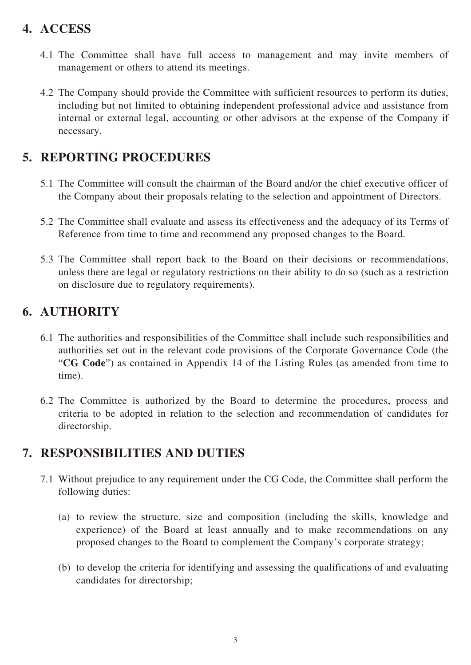## **4. ACCESS**

- 4.1 The Committee shall have full access to management and may invite members of management or others to attend its meetings.
- 4.2 The Company should provide the Committee with sufficient resources to perform its duties, including but not limited to obtaining independent professional advice and assistance from internal or external legal, accounting or other advisors at the expense of the Company if necessary.

## **5. REPORTING PROCEDURES**

- 5.1 The Committee will consult the chairman of the Board and/or the chief executive officer of the Company about their proposals relating to the selection and appointment of Directors.
- 5.2 The Committee shall evaluate and assess its effectiveness and the adequacy of its Terms of Reference from time to time and recommend any proposed changes to the Board.
- 5.3 The Committee shall report back to the Board on their decisions or recommendations, unless there are legal or regulatory restrictions on their ability to do so (such as a restriction on disclosure due to regulatory requirements).

# **6. AUTHORITY**

- 6.1 The authorities and responsibilities of the Committee shall include such responsibilities and authorities set out in the relevant code provisions of the Corporate Governance Code (the "**CG Code**") as contained in Appendix 14 of the Listing Rules (as amended from time to time).
- 6.2 The Committee is authorized by the Board to determine the procedures, process and criteria to be adopted in relation to the selection and recommendation of candidates for directorship.

# **7. RESPONSIBILITIES AND DUTIES**

- 7.1 Without prejudice to any requirement under the CG Code, the Committee shall perform the following duties:
	- (a) to review the structure, size and composition (including the skills, knowledge and experience) of the Board at least annually and to make recommendations on any proposed changes to the Board to complement the Company's corporate strategy;
	- (b) to develop the criteria for identifying and assessing the qualifications of and evaluating candidates for directorship;